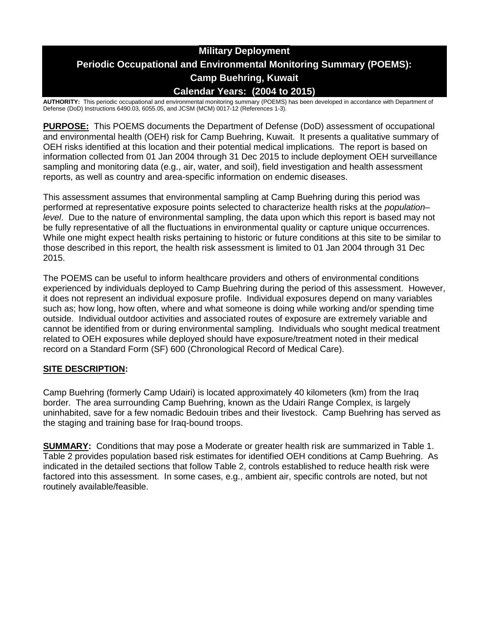# **Military Deployment Periodic Occupational and Environmental Monitoring Summary (POEMS): Camp Buehring, Kuwait Calendar Years: (2004 to 2015)**

**AUTHORITY:** This periodic occupational and environmental monitoring summary (POEMS) has been developed in accordance with Department of Defense (DoD) Instructions 6490.03, 6055.05, and JCSM (MCM) 0017-12 (References 1-3).

**PURPOSE:** This POEMS documents the Department of Defense (DoD) assessment of occupational and environmental health (OEH) risk for Camp Buehring, Kuwait. It presents a qualitative summary of OEH risks identified at this location and their potential medical implications. The report is based on information collected from 01 Jan 2004 through 31 Dec 2015 to include deployment OEH surveillance sampling and monitoring data (e.g., air, water, and soil), field investigation and health assessment reports, as well as country and area-specific information on endemic diseases.

This assessment assumes that environmental sampling at Camp Buehring during this period was performed at representative exposure points selected to characterize health risks at the *population– level*. Due to the nature of environmental sampling, the data upon which this report is based may not be fully representative of all the fluctuations in environmental quality or capture unique occurrences. While one might expect health risks pertaining to historic or future conditions at this site to be similar to those described in this report, the health risk assessment is limited to 01 Jan 2004 through 31 Dec 2015.

The POEMS can be useful to inform healthcare providers and others of environmental conditions experienced by individuals deployed to Camp Buehring during the period of this assessment. However, it does not represent an individual exposure profile. Individual exposures depend on many variables such as; how long, how often, where and what someone is doing while working and/or spending time outside. Individual outdoor activities and associated routes of exposure are extremely variable and cannot be identified from or during environmental sampling. Individuals who sought medical treatment related to OEH exposures while deployed should have exposure/treatment noted in their medical record on a Standard Form (SF) 600 (Chronological Record of Medical Care).

### **SITE DESCRIPTION:**

Camp Buehring (formerly Camp Udairi) is located approximately 40 kilometers (km) from the Iraq border. The area surrounding Camp Buehring, known as the Udairi Range Complex, is largely uninhabited, save for a few nomadic Bedouin tribes and their livestock. Camp Buehring has served as the staging and training base for Iraq-bound troops.

**SUMMARY:** Conditions that may pose a Moderate or greater health risk are summarized in Table 1. Table 2 provides population based risk estimates for identified OEH conditions at Camp Buehring. As indicated in the detailed sections that follow Table 2, controls established to reduce health risk were factored into this assessment. In some cases, e.g., ambient air, specific controls are noted, but not routinely available/feasible.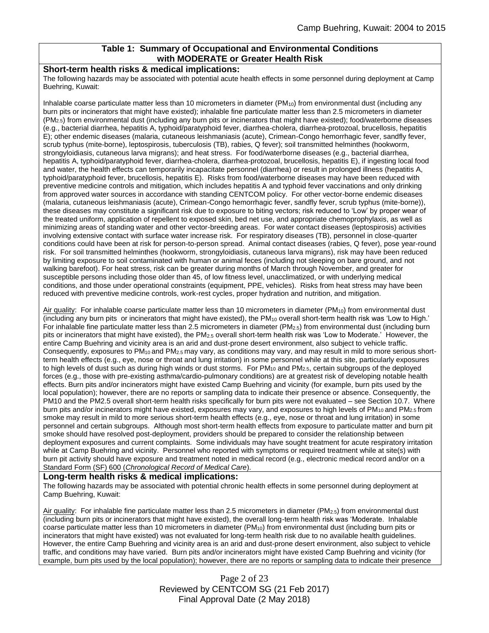### **Table 1: Summary of Occupational and Environmental Conditions with MODERATE or Greater Health Risk**

#### **Short-term health risks & medical implications:**

The following hazards may be associated with potential acute health effects in some personnel during deployment at Camp Buehring, Kuwait:

Inhalable coarse particulate matter less than 10 micrometers in diameter  $(PM_{10})$  from environmental dust (including any burn pits or incinerators that might have existed); inhalable fine particulate matter less than 2.5 micrometers in diameter  $(PM<sub>2.5</sub>)$  from environmental dust (including any burn pits or incinerators that might have existed); food/waterborne diseases (e.g., bacterial diarrhea, hepatitis A, typhoid/paratyphoid fever, diarrhea-cholera, diarrhea-protozoal, brucellosis, hepatitis E); other endemic diseases (malaria, cutaneous leishmaniasis (acute), Crimean-Congo hemorrhagic fever, sandfly fever, scrub typhus (mite-borne), leptospirosis, tuberculosis (TB), rabies, Q fever); soil transmitted helminthes (hookworm, strongyloidiasis, cutaneous larva migrans); and heat stress. For food/waterborne diseases (e.g., bacterial diarrhea, hepatitis A, typhoid/paratyphoid fever, diarrhea-cholera, diarrhea-protozoal, brucellosis, hepatitis E), if ingesting local food and water, the health effects can temporarily incapacitate personnel (diarrhea) or result in prolonged illness (hepatitis A, typhoid/paratyphoid fever, brucellosis, hepatitis E). Risks from food/waterborne diseases may have been reduced with preventive medicine controls and mitigation, which includes hepatitis A and typhoid fever vaccinations and only drinking from approved water sources in accordance with standing CENTCOM policy. For other vector-borne endemic diseases (malaria, cutaneous leishmaniasis (acute), Crimean-Congo hemorrhagic fever, sandfly fever, scrub typhus (mite-borne)), these diseases may constitute a significant risk due to exposure to biting vectors; risk reduced to 'Low' by proper wear of the treated uniform, application of repellent to exposed skin, bed net use, and appropriate chemoprophylaxis, as well as minimizing areas of standing water and other vector-breeding areas. For water contact diseases (leptospirosis) activities involving extensive contact with surface water increase risk. For respiratory diseases (TB), personnel in close-quarter conditions could have been at risk for person-to-person spread. Animal contact diseases (rabies, Q fever), pose year-round risk. For soil transmitted helminthes (hookworm, strongyloidiasis, cutaneous larva migrans), risk may have been reduced by limiting exposure to soil contaminated with human or animal feces (including not sleeping on bare ground, and not walking barefoot). For heat stress, risk can be greater during months of March through November, and greater for susceptible persons including those older than 45, of low fitness level, unacclimatized, or with underlying medical conditions, and those under operational constraints (equipment, PPE, vehicles). Risks from heat stress may have been reduced with preventive medicine controls, work-rest cycles, proper hydration and nutrition, and mitigation.

Air quality: For inhalable coarse particulate matter less than 10 micrometers in diameter (PM<sub>10</sub>) from environmental dust (including any burn pits or incinerators that might have existed), the  $PM_{10}$  overall short-term health risk was 'Low to High.' For inhalable fine particulate matter less than 2.5 micrometers in diameter (PM $_{2.5}$ ) from environmental dust (including burn pits or incinerators that might have existed), the PM2.5 overall short-term health risk was 'Low to Moderate.' However, the entire Camp Buehring and vicinity area is an arid and dust-prone desert environment, also subject to vehicle traffic. Consequently, exposures to  $PM_{10}$  and  $PM_{2.5}$  may vary, as conditions may vary, and may result in mild to more serious shortterm health effects (e.g., eye, nose or throat and lung irritation) in some personnel while at this site, particularly exposures to high levels of dust such as during high winds or dust storms. For  $PM_{10}$  and  $PM_{2.5}$ , certain subgroups of the deployed forces (e.g., those with pre-existing asthma/cardio-pulmonary conditions) are at greatest risk of developing notable health effects. Burn pits and/or incinerators might have existed Camp Buehring and vicinity (for example, burn pits used by the local population); however, there are no reports or sampling data to indicate their presence or absence. Consequently, the PM10 and the PM2.5 overall short-term health risks specifically for burn pits were not evaluated – see Section 10.7. Where burn pits and/or incinerators might have existed, exposures may vary, and exposures to high levels of  $PM_{10}$  and  $PM_{2.5}$  from smoke may result in mild to more serious short-term health effects (e.g., eye, nose or throat and lung irritation) in some personnel and certain subgroups. Although most short-term health effects from exposure to particulate matter and burn pit smoke should have resolved post-deployment, providers should be prepared to consider the relationship between deployment exposures and current complaints. Some individuals may have sought treatment for acute respiratory irritation while at Camp Buehring and vicinity. Personnel who reported with symptoms or required treatment while at site(s) with burn pit activity should have exposure and treatment noted in medical record (e.g., electronic medical record and/or on a Standard Form (SF) 600 (*Chronological Record of Medical Care*).

#### **Long-term health risks & medical implications:**

The following hazards may be associated with potential chronic health effects in some personnel during deployment at Camp Buehring, Kuwait:

Air quality: For inhalable fine particulate matter less than 2.5 micrometers in diameter (PM<sub>2.5</sub>) from environmental dust (including burn pits or incinerators that might have existed), the overall long-term health risk was 'Moderate. Inhalable coarse particulate matter less than 10 micrometers in diameter  $(PM_{10})$  from environmental dust (including burn pits or incinerators that might have existed) was not evaluated for long-term health risk due to no available health guidelines. However, the entire Camp Buehring and vicinity area is an arid and dust-prone desert environment, also subject to vehicle traffic, and conditions may have varied. Burn pits and/or incinerators might have existed Camp Buehring and vicinity (for example, burn pits used by the local population); however, there are no reports or sampling data to indicate their presence

> Page 2 of 23 Reviewed by CENTCOM SG (21 Feb 2017) Final Approval Date (2 May 2018)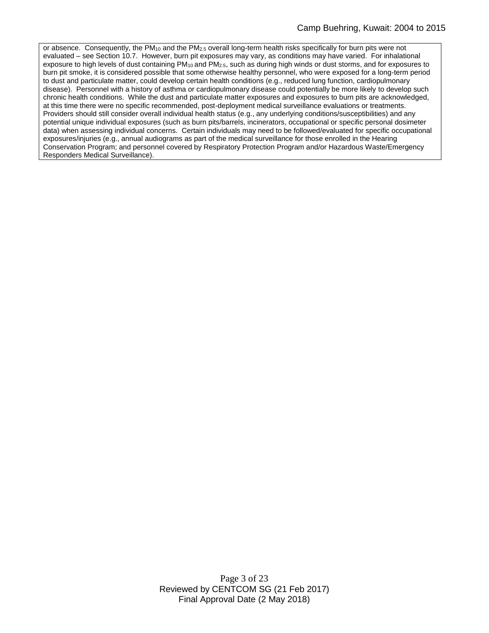or absence. Consequently, the PM<sub>10</sub> and the PM<sub>2.5</sub> overall long-term health risks specifically for burn pits were not evaluated – see Section 10.7. However, burn pit exposures may vary, as conditions may have varied. For inhalational exposure to high levels of dust containing PM<sub>10</sub> and PM<sub>2.5</sub>, such as during high winds or dust storms, and for exposures to burn pit smoke, it is considered possible that some otherwise healthy personnel, who were exposed for a long-term period to dust and particulate matter, could develop certain health conditions (e.g., reduced lung function, cardiopulmonary disease). Personnel with a history of asthma or cardiopulmonary disease could potentially be more likely to develop such chronic health conditions. While the dust and particulate matter exposures and exposures to burn pits are acknowledged, at this time there were no specific recommended, post-deployment medical surveillance evaluations or treatments. Providers should still consider overall individual health status (e.g., any underlying conditions/susceptibilities) and any potential unique individual exposures (such as burn pits/barrels, incinerators, occupational or specific personal dosimeter data) when assessing individual concerns. Certain individuals may need to be followed/evaluated for specific occupational exposures/injuries (e.g., annual audiograms as part of the medical surveillance for those enrolled in the Hearing Conservation Program; and personnel covered by Respiratory Protection Program and/or Hazardous Waste/Emergency Responders Medical Surveillance).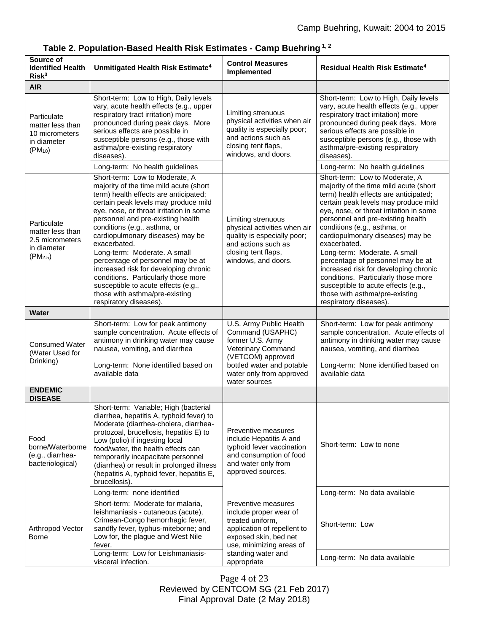| Source of<br><b>Identified Health</b><br>Risk <sup>3</sup>                        | Unmitigated Health Risk Estimate <sup>4</sup>                                                                                                                                                                                                                                                                                                                                                                                                                                                                             | <b>Control Measures</b><br>Implemented                                                                                                                                                     | Residual Health Risk Estimate <sup>4</sup>                                                                                                                                                                                                                                                                                                                                                                                                                                                                                |
|-----------------------------------------------------------------------------------|---------------------------------------------------------------------------------------------------------------------------------------------------------------------------------------------------------------------------------------------------------------------------------------------------------------------------------------------------------------------------------------------------------------------------------------------------------------------------------------------------------------------------|--------------------------------------------------------------------------------------------------------------------------------------------------------------------------------------------|---------------------------------------------------------------------------------------------------------------------------------------------------------------------------------------------------------------------------------------------------------------------------------------------------------------------------------------------------------------------------------------------------------------------------------------------------------------------------------------------------------------------------|
| <b>AIR</b>                                                                        |                                                                                                                                                                                                                                                                                                                                                                                                                                                                                                                           |                                                                                                                                                                                            |                                                                                                                                                                                                                                                                                                                                                                                                                                                                                                                           |
| Particulate<br>matter less than<br>10 micrometers<br>in diameter<br>$(PM_{10})$   | Short-term: Low to High, Daily levels<br>vary, acute health effects (e.g., upper<br>respiratory tract irritation) more<br>pronounced during peak days. More<br>serious effects are possible in<br>susceptible persons (e.g., those with<br>asthma/pre-existing respiratory<br>diseases).<br>Long-term: No health guidelines                                                                                                                                                                                               | Limiting strenuous<br>physical activities when air<br>quality is especially poor;<br>and actions such as<br>closing tent flaps,<br>windows, and doors.                                     | Short-term: Low to High, Daily levels<br>vary, acute health effects (e.g., upper<br>respiratory tract irritation) more<br>pronounced during peak days. More<br>serious effects are possible in<br>susceptible persons (e.g., those with<br>asthma/pre-existing respiratory<br>diseases).<br>Long-term: No health guidelines                                                                                                                                                                                               |
|                                                                                   | Short-term: Low to Moderate, A                                                                                                                                                                                                                                                                                                                                                                                                                                                                                            |                                                                                                                                                                                            | Short-term: Low to Moderate, A                                                                                                                                                                                                                                                                                                                                                                                                                                                                                            |
| Particulate<br>matter less than<br>2.5 micrometers<br>in diameter<br>$(PM_{2.5})$ | majority of the time mild acute (short<br>term) health effects are anticipated;<br>certain peak levels may produce mild<br>eye, nose, or throat irritation in some<br>personnel and pre-existing health<br>conditions (e.g., asthma, or<br>cardiopulmonary diseases) may be<br>exacerbated.<br>Long-term: Moderate. A small<br>percentage of personnel may be at<br>increased risk for developing chronic<br>conditions. Particularly those more<br>susceptible to acute effects (e.g.,<br>those with asthma/pre-existing | Limiting strenuous<br>physical activities when air<br>quality is especially poor;<br>and actions such as<br>closing tent flaps,<br>windows, and doors.                                     | majority of the time mild acute (short<br>term) health effects are anticipated;<br>certain peak levels may produce mild<br>eye, nose, or throat irritation in some<br>personnel and pre-existing health<br>conditions (e.g., asthma, or<br>cardiopulmonary diseases) may be<br>exacerbated.<br>Long-term: Moderate. A small<br>percentage of personnel may be at<br>increased risk for developing chronic<br>conditions. Particularly those more<br>susceptible to acute effects (e.g.,<br>those with asthma/pre-existing |
|                                                                                   | respiratory diseases).                                                                                                                                                                                                                                                                                                                                                                                                                                                                                                    |                                                                                                                                                                                            | respiratory diseases).                                                                                                                                                                                                                                                                                                                                                                                                                                                                                                    |
| <b>Water</b>                                                                      |                                                                                                                                                                                                                                                                                                                                                                                                                                                                                                                           |                                                                                                                                                                                            |                                                                                                                                                                                                                                                                                                                                                                                                                                                                                                                           |
| <b>Consumed Water</b><br>(Water Used for<br>Drinking)                             | Short-term: Low for peak antimony<br>sample concentration. Acute effects of<br>antimony in drinking water may cause<br>nausea, vomiting, and diarrhea<br>Long-term: None identified based on<br>available data                                                                                                                                                                                                                                                                                                            | U.S. Army Public Health<br>Command (USAPHC)<br>former U.S. Army<br>Veterinary Command<br>(VETCOM) approved<br>bottled water and potable<br>water only from approved<br>water sources       | Short-term: Low for peak antimony<br>sample concentration. Acute effects of<br>antimony in drinking water may cause<br>nausea, vomiting, and diarrhea<br>Long-term: None identified based on<br>available data                                                                                                                                                                                                                                                                                                            |
| <b>ENDEMIC</b><br><b>DISEASE</b>                                                  |                                                                                                                                                                                                                                                                                                                                                                                                                                                                                                                           |                                                                                                                                                                                            |                                                                                                                                                                                                                                                                                                                                                                                                                                                                                                                           |
| Food<br>borne/Waterborne<br>(e.g., diarrhea-<br>bacteriological)                  | Short-term: Variable; High (bacterial<br>diarrhea, hepatitis A, typhoid fever) to<br>Moderate (diarrhea-cholera, diarrhea-<br>protozoal, brucellosis, hepatitis E) to<br>Low (polio) if ingesting local<br>food/water, the health effects can<br>temporarily incapacitate personnel<br>(diarrhea) or result in prolonged illness<br>(hepatitis A, typhoid fever, hepatitis E,<br>brucellosis).                                                                                                                            | Preventive measures<br>include Hepatitis A and<br>typhoid fever vaccination<br>and consumption of food<br>and water only from<br>approved sources.                                         | Short-term: Low to none                                                                                                                                                                                                                                                                                                                                                                                                                                                                                                   |
|                                                                                   | Long-term: none identified                                                                                                                                                                                                                                                                                                                                                                                                                                                                                                |                                                                                                                                                                                            | Long-term: No data available                                                                                                                                                                                                                                                                                                                                                                                                                                                                                              |
| Arthropod Vector<br>Borne                                                         | Short-term: Moderate for malaria,<br>leishmaniasis - cutaneous (acute),<br>Crimean-Congo hemorrhagic fever,<br>sandfly fever, typhus-miteborne; and<br>Low for, the plague and West Nile<br>fever.                                                                                                                                                                                                                                                                                                                        | Preventive measures<br>include proper wear of<br>treated uniform,<br>application of repellent to<br>exposed skin, bed net<br>use, minimizing areas of<br>standing water and<br>appropriate | Short-term: Low                                                                                                                                                                                                                                                                                                                                                                                                                                                                                                           |
|                                                                                   | Long-term: Low for Leishmaniasis-<br>visceral infection.                                                                                                                                                                                                                                                                                                                                                                                                                                                                  |                                                                                                                                                                                            | Long-term: No data available                                                                                                                                                                                                                                                                                                                                                                                                                                                                                              |

|  | Table 2. Population-Based Health Risk Estimates - Camp Buehring $^{1,\,2}$ |  |
|--|----------------------------------------------------------------------------|--|
|--|----------------------------------------------------------------------------|--|

Page 4 of 23 Reviewed by CENTCOM SG (21 Feb 2017) Final Approval Date (2 May 2018)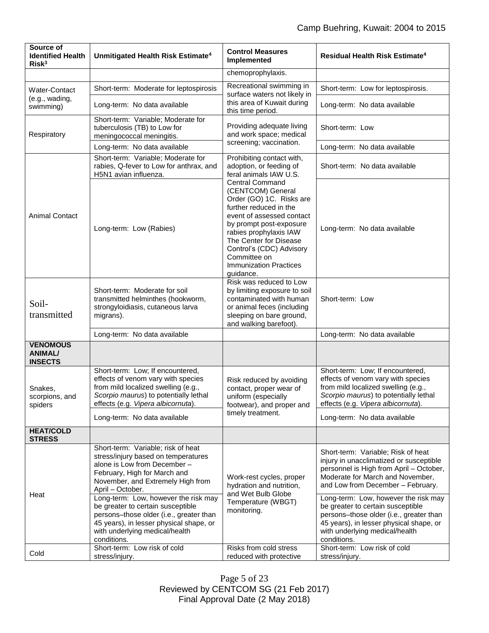| Source of<br><b>Identified Health</b><br>Risk <sup>3</sup> | Unmitigated Health Risk Estimate <sup>4</sup>                                                                                                                                                                    | <b>Control Measures</b><br>Implemented                                                                                                                                                                                                                                                                  | <b>Residual Health Risk Estimate<sup>4</sup></b>                                                                                                                                                                 |
|------------------------------------------------------------|------------------------------------------------------------------------------------------------------------------------------------------------------------------------------------------------------------------|---------------------------------------------------------------------------------------------------------------------------------------------------------------------------------------------------------------------------------------------------------------------------------------------------------|------------------------------------------------------------------------------------------------------------------------------------------------------------------------------------------------------------------|
|                                                            |                                                                                                                                                                                                                  | chemoprophylaxis.                                                                                                                                                                                                                                                                                       |                                                                                                                                                                                                                  |
| Water-Contact<br>(e.g., wading,<br>swimming)               | Short-term: Moderate for leptospirosis                                                                                                                                                                           | Recreational swimming in<br>surface waters not likely in<br>this area of Kuwait during<br>this time period.                                                                                                                                                                                             | Short-term: Low for leptospirosis.                                                                                                                                                                               |
|                                                            | Long-term: No data available                                                                                                                                                                                     |                                                                                                                                                                                                                                                                                                         | Long-term: No data available                                                                                                                                                                                     |
| Respiratory                                                | Short-term: Variable; Moderate for<br>tuberculosis (TB) to Low for<br>meningococcal meningitis.                                                                                                                  | Providing adequate living<br>and work space; medical<br>screening; vaccination.                                                                                                                                                                                                                         | Short-term: Low                                                                                                                                                                                                  |
|                                                            | Long-term: No data available                                                                                                                                                                                     |                                                                                                                                                                                                                                                                                                         | Long-term: No data available                                                                                                                                                                                     |
|                                                            | Short-term: Variable; Moderate for<br>rabies, Q-fever to Low for anthrax, and<br>H5N1 avian influenza.                                                                                                           | Prohibiting contact with,<br>adoption, or feeding of<br>feral animals IAW U.S.                                                                                                                                                                                                                          | Short-term: No data available                                                                                                                                                                                    |
| <b>Animal Contact</b>                                      | Long-term: Low (Rabies)                                                                                                                                                                                          | <b>Central Command</b><br>(CENTCOM) General<br>Order (GO) 1C. Risks are<br>further reduced in the<br>event of assessed contact<br>by prompt post-exposure<br>rabies prophylaxis IAW<br>The Center for Disease<br>Control's (CDC) Advisory<br>Committee on<br><b>Immunization Practices</b><br>guidance. | Long-term: No data available                                                                                                                                                                                     |
| Soil-<br>transmitted                                       | Short-term: Moderate for soil<br>transmitted helminthes (hookworm,<br>strongyloidiasis, cutaneous larva<br>migrans).                                                                                             | Risk was reduced to Low<br>by limiting exposure to soil<br>contaminated with human<br>or animal feces (including<br>sleeping on bare ground,<br>and walking barefoot).                                                                                                                                  | Short-term: Low                                                                                                                                                                                                  |
|                                                            | Long-term: No data available                                                                                                                                                                                     |                                                                                                                                                                                                                                                                                                         | Long-term: No data available                                                                                                                                                                                     |
| <b>VENOMOUS</b><br><b>ANIMAL/</b><br><b>INSECTS</b>        |                                                                                                                                                                                                                  |                                                                                                                                                                                                                                                                                                         |                                                                                                                                                                                                                  |
| Snakes,<br>scorpions, and<br>spiders                       | Short-term: Low; If encountered,<br>effects of venom vary with species<br>from mild localized swelling (e.g.,<br>Scorpio maurus) to potentially lethal<br>effects (e.g. Vipera albicornuta).                     | Risk reduced by avoiding<br>contact, proper wear of<br>uniform (especially<br>footwear), and proper and<br>timely treatment.                                                                                                                                                                            | Short-term: Low; If encountered,<br>effects of venom vary with species<br>from mild localized swelling (e.g.,<br>Scorpio maurus) to potentially lethal<br>effects (e.g. Vipera albicornuta).                     |
|                                                            | Long-term: No data available                                                                                                                                                                                     |                                                                                                                                                                                                                                                                                                         | Long-term: No data available                                                                                                                                                                                     |
| <b>HEAT/COLD</b><br><b>STRESS</b>                          |                                                                                                                                                                                                                  |                                                                                                                                                                                                                                                                                                         |                                                                                                                                                                                                                  |
| Heat                                                       | Short-term: Variable; risk of heat<br>stress/injury based on temperatures<br>alone is Low from December -<br>February, High for March and<br>November, and Extremely High from<br>April - October.               | Work-rest cycles, proper<br>hydration and nutrition,<br>and Wet Bulb Globe<br>Temperature (WBGT)<br>monitoring.                                                                                                                                                                                         | Short-term: Variable; Risk of heat<br>injury in unacclimatized or susceptible<br>personnel is High from April - October,<br>Moderate for March and November,<br>and Low from December - February.                |
|                                                            | Long-term: Low, however the risk may<br>be greater to certain susceptible<br>persons-those older (i.e., greater than<br>45 years), in lesser physical shape, or<br>with underlying medical/health<br>conditions. |                                                                                                                                                                                                                                                                                                         | Long-term: Low, however the risk may<br>be greater to certain susceptible<br>persons-those older (i.e., greater than<br>45 years), in lesser physical shape, or<br>with underlying medical/health<br>conditions. |
| Cold                                                       | Short-term: Low risk of cold<br>stress/injury.                                                                                                                                                                   | Risks from cold stress<br>reduced with protective                                                                                                                                                                                                                                                       | Short-term: Low risk of cold<br>stress/injury.                                                                                                                                                                   |

Page 5 of 23 Reviewed by CENTCOM SG (21 Feb 2017) Final Approval Date (2 May 2018)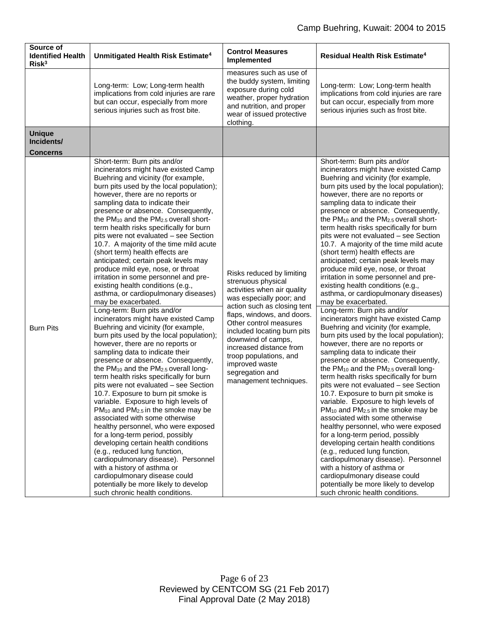| Source of<br><b>Identified Health</b><br>Risk <sup>3</sup> | Unmitigated Health Risk Estimate <sup>4</sup>                                                                                                                                                                                                                                                                                                                                                                                                                                                                                                                                                                                                                                                                                                                                                                                                                                                                                                                                                                                                                                                                                                                                                                                                                                                                                                                                                                                                                                                                                                                                                                                                                        | <b>Control Measures</b><br>Implemented                                                                                                                                                                                                                                                                                                                                     | <b>Residual Health Risk Estimate<sup>4</sup></b>                                                                                                                                                                                                                                                                                                                                                                                                                                                                                                                                                                                                                                                                                                                                                                                                                                                                                                                                                                                                                                                                                                                                                                                                                                                                                                                                                                                                                                                                                                                                                                                                                                   |
|------------------------------------------------------------|----------------------------------------------------------------------------------------------------------------------------------------------------------------------------------------------------------------------------------------------------------------------------------------------------------------------------------------------------------------------------------------------------------------------------------------------------------------------------------------------------------------------------------------------------------------------------------------------------------------------------------------------------------------------------------------------------------------------------------------------------------------------------------------------------------------------------------------------------------------------------------------------------------------------------------------------------------------------------------------------------------------------------------------------------------------------------------------------------------------------------------------------------------------------------------------------------------------------------------------------------------------------------------------------------------------------------------------------------------------------------------------------------------------------------------------------------------------------------------------------------------------------------------------------------------------------------------------------------------------------------------------------------------------------|----------------------------------------------------------------------------------------------------------------------------------------------------------------------------------------------------------------------------------------------------------------------------------------------------------------------------------------------------------------------------|------------------------------------------------------------------------------------------------------------------------------------------------------------------------------------------------------------------------------------------------------------------------------------------------------------------------------------------------------------------------------------------------------------------------------------------------------------------------------------------------------------------------------------------------------------------------------------------------------------------------------------------------------------------------------------------------------------------------------------------------------------------------------------------------------------------------------------------------------------------------------------------------------------------------------------------------------------------------------------------------------------------------------------------------------------------------------------------------------------------------------------------------------------------------------------------------------------------------------------------------------------------------------------------------------------------------------------------------------------------------------------------------------------------------------------------------------------------------------------------------------------------------------------------------------------------------------------------------------------------------------------------------------------------------------------|
|                                                            | Long-term: Low; Long-term health<br>implications from cold injuries are rare<br>but can occur, especially from more<br>serious injuries such as frost bite.                                                                                                                                                                                                                                                                                                                                                                                                                                                                                                                                                                                                                                                                                                                                                                                                                                                                                                                                                                                                                                                                                                                                                                                                                                                                                                                                                                                                                                                                                                          | measures such as use of<br>the buddy system, limiting<br>exposure during cold<br>weather, proper hydration<br>and nutrition, and proper<br>wear of issued protective<br>clothing.                                                                                                                                                                                          | Long-term: Low; Long-term health<br>implications from cold injuries are rare<br>but can occur, especially from more<br>serious injuries such as frost bite.                                                                                                                                                                                                                                                                                                                                                                                                                                                                                                                                                                                                                                                                                                                                                                                                                                                                                                                                                                                                                                                                                                                                                                                                                                                                                                                                                                                                                                                                                                                        |
| <b>Unique</b><br>Incidents/<br><b>Concerns</b>             |                                                                                                                                                                                                                                                                                                                                                                                                                                                                                                                                                                                                                                                                                                                                                                                                                                                                                                                                                                                                                                                                                                                                                                                                                                                                                                                                                                                                                                                                                                                                                                                                                                                                      |                                                                                                                                                                                                                                                                                                                                                                            |                                                                                                                                                                                                                                                                                                                                                                                                                                                                                                                                                                                                                                                                                                                                                                                                                                                                                                                                                                                                                                                                                                                                                                                                                                                                                                                                                                                                                                                                                                                                                                                                                                                                                    |
| <b>Burn Pits</b>                                           | Short-term: Burn pits and/or<br>incinerators might have existed Camp<br>Buehring and vicinity (for example,<br>burn pits used by the local population);<br>however, there are no reports or<br>sampling data to indicate their<br>presence or absence. Consequently,<br>the PM <sub>10</sub> and the PM <sub>2.5</sub> overall short-<br>term health risks specifically for burn<br>pits were not evaluated - see Section<br>10.7. A majority of the time mild acute<br>(short term) health effects are<br>anticipated; certain peak levels may<br>produce mild eye, nose, or throat<br>irritation in some personnel and pre-<br>existing health conditions (e.g.,<br>asthma, or cardiopulmonary diseases)<br>may be exacerbated.<br>Long-term: Burn pits and/or<br>incinerators might have existed Camp<br>Buehring and vicinity (for example,<br>burn pits used by the local population);<br>however, there are no reports or<br>sampling data to indicate their<br>presence or absence. Consequently,<br>the PM <sub>10</sub> and the PM <sub>2.5</sub> overall long-<br>term health risks specifically for burn<br>pits were not evaluated - see Section<br>10.7. Exposure to burn pit smoke is<br>variable. Exposure to high levels of<br>$PM_{10}$ and $PM_{2.5}$ in the smoke may be<br>associated with some otherwise<br>healthy personnel, who were exposed<br>for a long-term period, possibly<br>developing certain health conditions<br>(e.g., reduced lung function,<br>cardiopulmonary disease). Personnel<br>with a history of asthma or<br>cardiopulmonary disease could<br>potentially be more likely to develop<br>such chronic health conditions. | Risks reduced by limiting<br>strenuous physical<br>activities when air quality<br>was especially poor; and<br>action such as closing tent<br>flaps, windows, and doors.<br>Other control measures<br>included locating burn pits<br>downwind of camps,<br>increased distance from<br>troop populations, and<br>improved waste<br>segregation and<br>management techniques. | Short-term: Burn pits and/or<br>incinerators might have existed Camp<br>Buehring and vicinity (for example,<br>burn pits used by the local population);<br>however, there are no reports or<br>sampling data to indicate their<br>presence or absence. Consequently,<br>the PM <sub>10</sub> and the PM <sub>2.5</sub> overall short-<br>term health risks specifically for burn<br>pits were not evaluated - see Section<br>10.7. A majority of the time mild acute<br>(short term) health effects are<br>anticipated; certain peak levels may<br>produce mild eye, nose, or throat<br>irritation in some personnel and pre-<br>existing health conditions (e.g.,<br>asthma, or cardiopulmonary diseases)<br>may be exacerbated.<br>Long-term: Burn pits and/or<br>incinerators might have existed Camp<br>Buehring and vicinity (for example,<br>burn pits used by the local population);<br>however, there are no reports or<br>sampling data to indicate their<br>presence or absence. Consequently,<br>the PM <sub>10</sub> and the PM <sub>2.5</sub> overall long-<br>term health risks specifically for burn<br>pits were not evaluated - see Section<br>10.7. Exposure to burn pit smoke is<br>variable. Exposure to high levels of<br>PM <sub>10</sub> and PM <sub>2.5</sub> in the smoke may be<br>associated with some otherwise<br>healthy personnel, who were exposed<br>for a long-term period, possibly<br>developing certain health conditions<br>(e.g., reduced lung function,<br>cardiopulmonary disease). Personnel<br>with a history of asthma or<br>cardiopulmonary disease could<br>potentially be more likely to develop<br>such chronic health conditions. |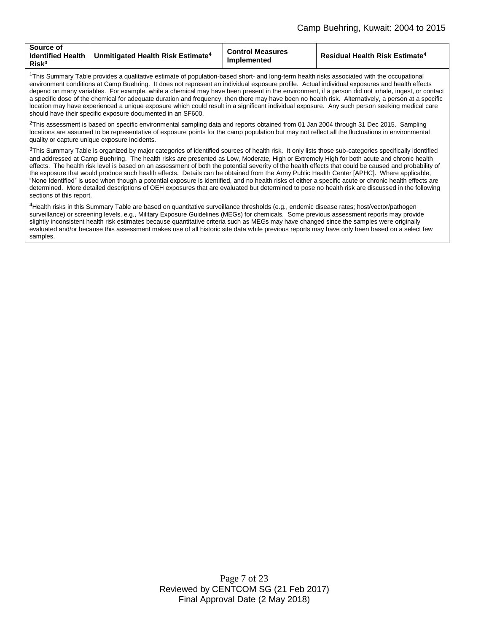| Source of<br><b>Identified Health</b><br>$\,$ Unmitigated Health Risk Estimate $^4$<br>$R$ isk $3$ | <b>Control Measures</b><br>Implemented | <b>Residual Health Risk Estimate<sup>4</sup></b> |
|----------------------------------------------------------------------------------------------------|----------------------------------------|--------------------------------------------------|
|----------------------------------------------------------------------------------------------------|----------------------------------------|--------------------------------------------------|

<sup>1</sup>This Summary Table provides a qualitative estimate of population-based short- and long-term health risks associated with the occupational environment conditions at Camp Buehring. It does not represent an individual exposure profile. Actual individual exposures and health effects depend on many variables. For example, while a chemical may have been present in the environment, if a person did not inhale, ingest, or contact a specific dose of the chemical for adequate duration and frequency, then there may have been no health risk. Alternatively, a person at a specific location may have experienced a unique exposure which could result in a significant individual exposure. Any such person seeking medical care should have their specific exposure documented in an SF600.

 $2$ This assessment is based on specific environmental sampling data and reports obtained from 01 Jan 2004 through 31 Dec 2015. Sampling locations are assumed to be representative of exposure points for the camp population but may not reflect all the fluctuations in environmental quality or capture unique exposure incidents.

<sup>3</sup>This Summary Table is organized by major categories of identified sources of health risk. It only lists those sub-categories specifically identified and addressed at Camp Buehring. The health risks are presented as Low, Moderate, High or Extremely High for both acute and chronic health effects. The health risk level is based on an assessment of both the potential severity of the health effects that could be caused and probability of the exposure that would produce such health effects. Details can be obtained from the Army Public Health Center [APHC]. Where applicable, "None Identified" is used when though a potential exposure is identified, and no health risks of either a specific acute or chronic health effects are determined. More detailed descriptions of OEH exposures that are evaluated but determined to pose no health risk are discussed in the following sections of this report.

<sup>4</sup>Health risks in this Summary Table are based on quantitative surveillance thresholds (e.g., endemic disease rates; host/vector/pathogen surveillance) or screening levels, e.g., Military Exposure Guidelines (MEGs) for chemicals*.* Some previous assessment reports may provide slightly inconsistent health risk estimates because quantitative criteria such as MEGs may have changed since the samples were originally evaluated and/or because this assessment makes use of all historic site data while previous reports may have only been based on a select few samples.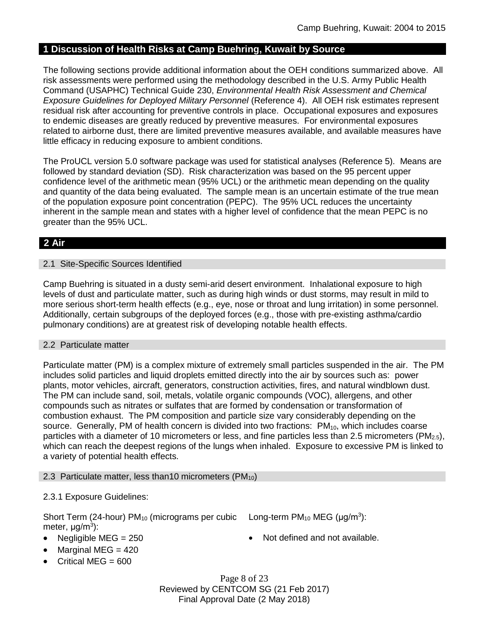# **1 Discussion of Health Risks at Camp Buehring, Kuwait by Source**

The following sections provide additional information about the OEH conditions summarized above. All risk assessments were performed using the methodology described in the U.S. Army Public Health Command (USAPHC) Technical Guide 230, *Environmental Health Risk Assessment and Chemical Exposure Guidelines for Deployed Military Personnel* (Reference 4). All OEH risk estimates represent residual risk after accounting for preventive controls in place. Occupational exposures and exposures to endemic diseases are greatly reduced by preventive measures. For environmental exposures related to airborne dust, there are limited preventive measures available, and available measures have little efficacy in reducing exposure to ambient conditions.

The ProUCL version 5.0 software package was used for statistical analyses (Reference 5). Means are followed by standard deviation (SD). Risk characterization was based on the 95 percent upper confidence level of the arithmetic mean (95% UCL) or the arithmetic mean depending on the quality and quantity of the data being evaluated. The sample mean is an uncertain estimate of the true mean of the population exposure point concentration (PEPC). The 95% UCL reduces the uncertainty inherent in the sample mean and states with a higher level of confidence that the mean PEPC is no greater than the 95% UCL.

# **2 Air**

### 2.1 Site-Specific Sources Identified

Camp Buehring is situated in a dusty semi-arid desert environment. Inhalational exposure to high levels of dust and particulate matter, such as during high winds or dust storms, may result in mild to more serious short-term health effects (e.g., eye, nose or throat and lung irritation) in some personnel. Additionally, certain subgroups of the deployed forces (e.g., those with pre-existing asthma/cardio pulmonary conditions) are at greatest risk of developing notable health effects.

#### 2.2 Particulate matter

Particulate matter (PM) is a complex mixture of extremely small particles suspended in the air. The PM includes solid particles and liquid droplets emitted directly into the air by sources such as: power plants, motor vehicles, aircraft, generators, construction activities, fires, and natural windblown dust. The PM can include sand, soil, metals, volatile organic compounds (VOC), allergens, and other compounds such as nitrates or sulfates that are formed by condensation or transformation of combustion exhaust. The PM composition and particle size vary considerably depending on the source. Generally, PM of health concern is divided into two fractions: PM<sub>10</sub>, which includes coarse particles with a diameter of 10 micrometers or less, and fine particles less than 2.5 micrometers ( $PM_{2.5}$ ), which can reach the deepest regions of the lungs when inhaled. Exposure to excessive PM is linked to a variety of potential health effects.

#### 2.3 Particulate matter, less than 10 micrometers ( $PM_{10}$ )

### 2.3.1 Exposure Guidelines:

Short Term (24-hour) PM<sub>10</sub> (micrograms per cubic Long-term PM<sub>10</sub> MEG ( $\mu$ g/m<sup>3</sup>): meter, μg/m<sup>3</sup>):

- 
- Negligible MEG = 250 **a** Not defined and not available.
- 
- Marginal MEG  $=$  420 Critical MEG = 600

Page 8 of 23 Reviewed by CENTCOM SG (21 Feb 2017) Final Approval Date (2 May 2018)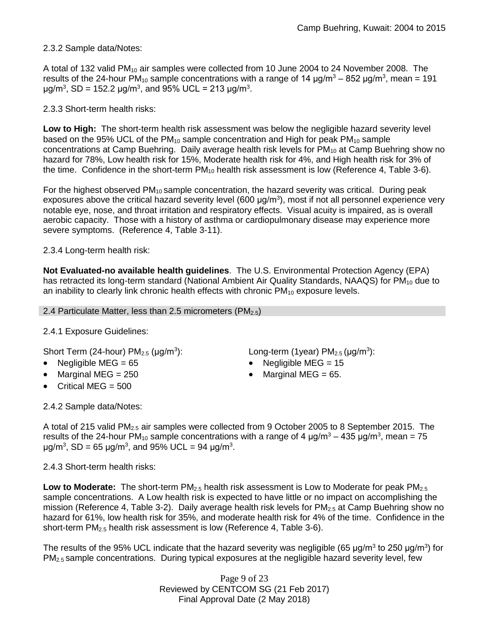### 2.3.2 Sample data/Notes:

A total of 132 valid PM<sub>10</sub> air samples were collected from 10 June 2004 to 24 November 2008. The results of the 24-hour PM<sub>10</sub> sample concentrations with a range of 14  $\mu$ g/m<sup>3</sup> – 852  $\mu$ g/m<sup>3</sup>, mean = 191 μg/m<sup>3</sup>, SD = 152.2 μg/m<sup>3</sup>, and 95% UCL = 213 μg/m<sup>3</sup>.

# 2.3.3 Short-term health risks:

**Low to High:** The short-term health risk assessment was below the negligible hazard severity level based on the 95% UCL of the  $PM_{10}$  sample concentration and High for peak  $PM_{10}$  sample concentrations at Camp Buehring. Daily average health risk levels for PM<sub>10</sub> at Camp Buehring show no hazard for 78%, Low health risk for 15%, Moderate health risk for 4%, and High health risk for 3% of the time. Confidence in the short-term  $PM_{10}$  health risk assessment is low (Reference 4, Table 3-6).

For the highest observed  $PM_{10}$  sample concentration, the hazard severity was critical. During peak exposures above the critical hazard severity level (600  $\mu$ g/m<sup>3</sup>), most if not all personnel experience very notable eye, nose, and throat irritation and respiratory effects. Visual acuity is impaired, as is overall aerobic capacity. Those with a history of asthma or cardiopulmonary disease may experience more severe symptoms. (Reference 4, Table 3-11).

# 2.3.4 Long-term health risk:

**Not Evaluated-no available health guidelines**. The U.S. Environmental Protection Agency (EPA) has retracted its long-term standard (National Ambient Air Quality Standards, NAAQS) for  $PM_{10}$  due to an inability to clearly link chronic health effects with chronic  $PM_{10}$  exposure levels.

2.4 Particulate Matter, less than 2.5 micrometers ( $PM<sub>2.5</sub>$ )

# 2.4.1 Exposure Guidelines:

Short Term (24-hour)  $PM<sub>2.5</sub>$  ( $\mu$ g/m<sup>3</sup>):

- 
- Marginal MEG =  $250$  extended to Marginal MEG =  $65$ .
- Critical MEG = 500

2.4.2 Sample data/Notes:

): Long-term (1year)  $PM_{2.5}$  (µg/m<sup>3</sup>):

- Negligible MEG = 65 Negligible MEG = 15
	-

A total of 215 valid PM2.5 air samples were collected from 9 October 2005 to 8 September 2015. The results of the 24-hour PM<sub>10</sub> sample concentrations with a range of 4  $\mu$ g/m<sup>3</sup> – 435  $\mu$ g/m<sup>3</sup>, mean = 75 μg/m<sup>3</sup>, SD = 65 μg/m<sup>3</sup>, and 95% UCL = 94 μg/m<sup>3</sup>.

2.4.3 Short-term health risks:

Low to Moderate: The short-term PM<sub>2.5</sub> health risk assessment is Low to Moderate for peak PM<sub>2.5</sub> sample concentrations. A Low health risk is expected to have little or no impact on accomplishing the mission (Reference 4, Table 3-2). Daily average health risk levels for  $PM_{2.5}$  at Camp Buehring show no hazard for 61%, low health risk for 35%, and moderate health risk for 4% of the time. Confidence in the short-term PM<sub>2.5</sub> health risk assessment is low (Reference 4, Table 3-6).

The results of the 95% UCL indicate that the hazard severity was negligible (65  $\mu$ g/m<sup>3</sup> to 250  $\mu$ g/m<sup>3</sup>) for PM<sub>2.5</sub> sample concentrations. During typical exposures at the negligible hazard severity level, few

> Page 9 of 23 Reviewed by CENTCOM SG (21 Feb 2017) Final Approval Date (2 May 2018)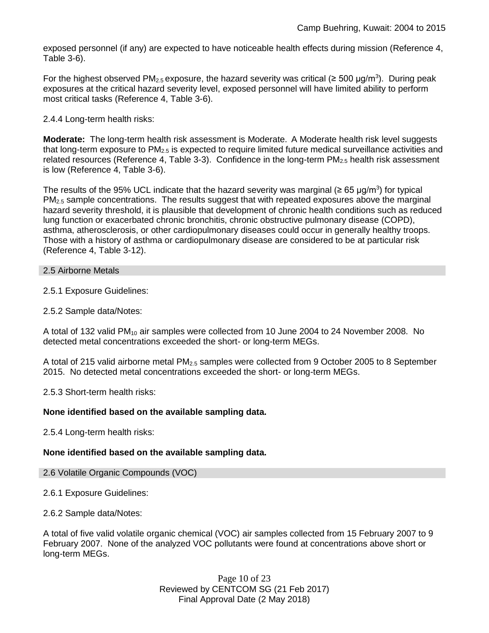exposed personnel (if any) are expected to have noticeable health effects during mission (Reference 4, Table 3-6).

For the highest observed PM<sub>2.5</sub> exposure, the hazard severity was critical ( $\geq 500$  µg/m<sup>3</sup>). During peak exposures at the critical hazard severity level, exposed personnel will have limited ability to perform most critical tasks (Reference 4, Table 3-6).

### 2.4.4 Long-term health risks:

**Moderate:** The long-term health risk assessment is Moderate. A Moderate health risk level suggests that long-term exposure to  $PM_{2.5}$  is expected to require limited future medical surveillance activities and related resources (Reference 4, Table 3-3). Confidence in the long-term  $PM_{2.5}$  health risk assessment is low (Reference 4, Table 3-6).

The results of the 95% UCL indicate that the hazard severity was marginal (≥ 65 µg/m<sup>3</sup>) for typical  $PM<sub>2.5</sub>$  sample concentrations. The results suggest that with repeated exposures above the marginal hazard severity threshold, it is plausible that development of chronic health conditions such as reduced lung function or exacerbated chronic bronchitis, chronic obstructive pulmonary disease (COPD), asthma, atherosclerosis, or other cardiopulmonary diseases could occur in generally healthy troops. Those with a history of asthma or cardiopulmonary disease are considered to be at particular risk (Reference 4, Table 3-12).

#### 2.5 Airborne Metals

2.5.1 Exposure Guidelines:

2.5.2 Sample data/Notes:

A total of 132 valid PM<sub>10</sub> air samples were collected from 10 June 2004 to 24 November 2008. No detected metal concentrations exceeded the short- or long-term MEGs.

A total of 215 valid airborne metal PM2.5 samples were collected from 9 October 2005 to 8 September 2015. No detected metal concentrations exceeded the short- or long-term MEGs.

2.5.3 Short-term health risks:

#### **None identified based on the available sampling data.**

2.5.4 Long-term health risks:

#### **None identified based on the available sampling data.**

#### 2.6 Volatile Organic Compounds (VOC)

2.6.1 Exposure Guidelines:

2.6.2 Sample data/Notes:

A total of five valid volatile organic chemical (VOC) air samples collected from 15 February 2007 to 9 February 2007. None of the analyzed VOC pollutants were found at concentrations above short or long-term MEGs.

> Page 10 of 23 Reviewed by CENTCOM SG (21 Feb 2017) Final Approval Date (2 May 2018)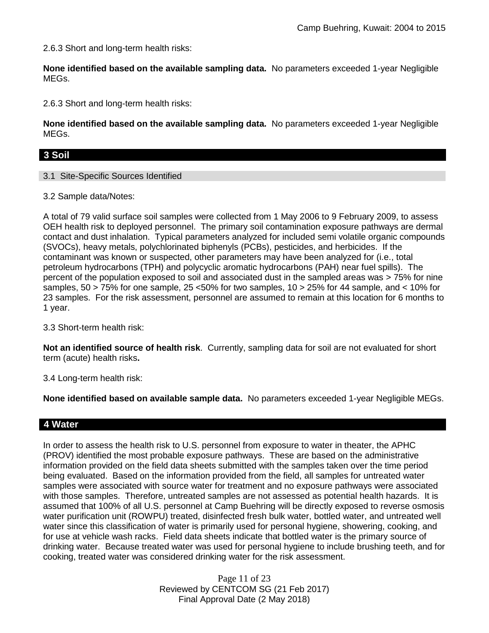2.6.3 Short and long-term health risks:

**None identified based on the available sampling data.** No parameters exceeded 1-year Negligible MEGs.

2.6.3 Short and long-term health risks:

**None identified based on the available sampling data.** No parameters exceeded 1-year Negligible MEGs.

### **3 Soil**

3.1 Site-Specific Sources Identified

3.2 Sample data/Notes:

A total of 79 valid surface soil samples were collected from 1 May 2006 to 9 February 2009, to assess OEH health risk to deployed personnel. The primary soil contamination exposure pathways are dermal contact and dust inhalation. Typical parameters analyzed for included semi volatile organic compounds (SVOCs), heavy metals, polychlorinated biphenyls (PCBs), pesticides, and herbicides. If the contaminant was known or suspected, other parameters may have been analyzed for (i.e., total petroleum hydrocarbons (TPH) and polycyclic aromatic hydrocarbons (PAH) near fuel spills). The percent of the population exposed to soil and associated dust in the sampled areas was > 75% for nine samples, 50 > 75% for one sample, 25 <50% for two samples, 10 > 25% for 44 sample, and < 10% for 23 samples. For the risk assessment, personnel are assumed to remain at this location for 6 months to 1 year.

3.3 Short-term health risk:

**Not an identified source of health risk**. Currently, sampling data for soil are not evaluated for short term (acute) health risks**.**

3.4 Long-term health risk:

**None identified based on available sample data.** No parameters exceeded 1-year Negligible MEGs.

### **4 Water**

In order to assess the health risk to U.S. personnel from exposure to water in theater, the APHC (PROV) identified the most probable exposure pathways. These are based on the administrative information provided on the field data sheets submitted with the samples taken over the time period being evaluated. Based on the information provided from the field, all samples for untreated water samples were associated with source water for treatment and no exposure pathways were associated with those samples. Therefore, untreated samples are not assessed as potential health hazards. It is assumed that 100% of all U.S. personnel at Camp Buehring will be directly exposed to reverse osmosis water purification unit (ROWPU) treated, disinfected fresh bulk water, bottled water, and untreated well water since this classification of water is primarily used for personal hygiene, showering, cooking, and for use at vehicle wash racks. Field data sheets indicate that bottled water is the primary source of drinking water. Because treated water was used for personal hygiene to include brushing teeth, and for cooking, treated water was considered drinking water for the risk assessment.

> Page 11 of 23 Reviewed by CENTCOM SG (21 Feb 2017) Final Approval Date (2 May 2018)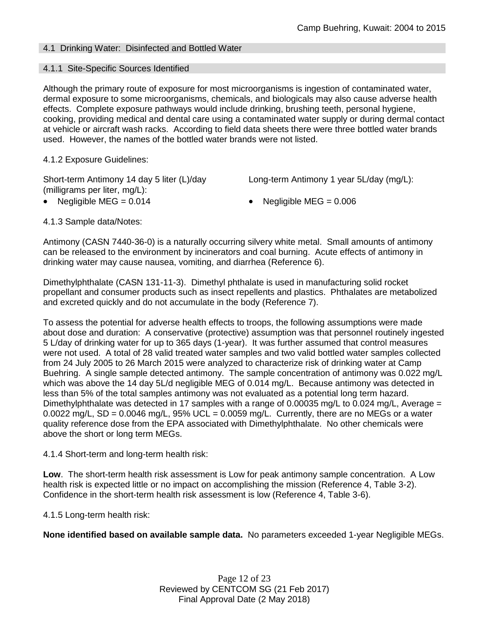# 4.1 Drinking Water: Disinfected and Bottled Water

### 4.1.1 Site-Specific Sources Identified

Although the primary route of exposure for most microorganisms is ingestion of contaminated water, dermal exposure to some microorganisms, chemicals, and biologicals may also cause adverse health effects. Complete exposure pathways would include drinking, brushing teeth, personal hygiene, cooking, providing medical and dental care using a contaminated water supply or during dermal contact at vehicle or aircraft wash racks. According to field data sheets there were three bottled water brands used. However, the names of the bottled water brands were not listed.

4.1.2 Exposure Guidelines:

Short-term Antimony 14 day 5 liter (L)/day (milligrams per liter, mg/L):

Long-term Antimony 1 year 5L/day (mg/L):

- - Negligible MEG = 0.014 Negligible MEG = 0.006

4.1.3 Sample data/Notes:

Antimony (CASN 7440-36-0) is a naturally occurring silvery white metal. Small amounts of antimony can be released to the environment by incinerators and coal burning. Acute effects of antimony in drinking water may cause nausea, vomiting, and diarrhea (Reference 6).

Dimethylphthalate (CASN 131-11-3). Dimethyl phthalate is used in manufacturing solid rocket propellant and consumer products such as insect repellents and plastics. Phthalates are metabolized and excreted quickly and do not accumulate in the body (Reference 7).

To assess the potential for adverse health effects to troops, the following assumptions were made about dose and duration: A conservative (protective) assumption was that personnel routinely ingested 5 L/day of drinking water for up to 365 days (1-year). It was further assumed that control measures were not used. A total of 28 valid treated water samples and two valid bottled water samples collected from 24 July 2005 to 26 March 2015 were analyzed to characterize risk of drinking water at Camp Buehring. A single sample detected antimony. The sample concentration of antimony was 0.022 mg/L which was above the 14 day 5L/d negligible MEG of 0.014 mg/L. Because antimony was detected in less than 5% of the total samples antimony was not evaluated as a potential long term hazard. Dimethylphthalate was detected in 17 samples with a range of 0.00035 mg/L to 0.024 mg/L, Average  $=$ 0.0022 mg/L,  $SD = 0.0046$  mg/L,  $95\%$  UCL = 0.0059 mg/L. Currently, there are no MEGs or a water quality reference dose from the EPA associated with Dimethylphthalate. No other chemicals were above the short or long term MEGs.

4.1.4 Short-term and long-term health risk:

**Low**. The short-term health risk assessment is Low for peak antimony sample concentration. A Low health risk is expected little or no impact on accomplishing the mission (Reference 4, Table 3-2). Confidence in the short-term health risk assessment is low (Reference 4, Table 3-6).

4.1.5 Long-term health risk:

**None identified based on available sample data.** No parameters exceeded 1-year Negligible MEGs.

Page 12 of 23 Reviewed by CENTCOM SG (21 Feb 2017) Final Approval Date (2 May 2018)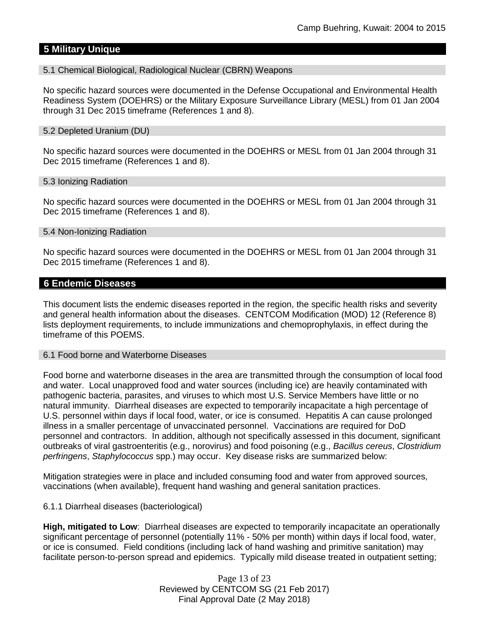# **5 Military Unique**

#### 5.1 Chemical Biological, Radiological Nuclear (CBRN) Weapons

No specific hazard sources were documented in the Defense Occupational and Environmental Health Readiness System (DOEHRS) or the Military Exposure Surveillance Library (MESL) from 01 Jan 2004 through 31 Dec 2015 timeframe (References 1 and 8).

#### 5.2 Depleted Uranium (DU)

No specific hazard sources were documented in the DOEHRS or MESL from 01 Jan 2004 through 31 Dec 2015 timeframe (References 1 and 8).

#### 5.3 Ionizing Radiation

No specific hazard sources were documented in the DOEHRS or MESL from 01 Jan 2004 through 31 Dec 2015 timeframe (References 1 and 8).

#### 5.4 Non-Ionizing Radiation

No specific hazard sources were documented in the DOEHRS or MESL from 01 Jan 2004 through 31 Dec 2015 timeframe (References 1 and 8).

#### **6 Endemic Diseases**

This document lists the endemic diseases reported in the region, the specific health risks and severity and general health information about the diseases. CENTCOM Modification (MOD) 12 (Reference 8) lists deployment requirements, to include immunizations and chemoprophylaxis, in effect during the timeframe of this POEMS.

#### 6.1 Food borne and Waterborne Diseases

Food borne and waterborne diseases in the area are transmitted through the consumption of local food and water. Local unapproved food and water sources (including ice) are heavily contaminated with pathogenic bacteria, parasites, and viruses to which most U.S. Service Members have little or no natural immunity. Diarrheal diseases are expected to temporarily incapacitate a high percentage of U.S. personnel within days if local food, water, or ice is consumed. Hepatitis A can cause prolonged illness in a smaller percentage of unvaccinated personnel. Vaccinations are required for DoD personnel and contractors. In addition, although not specifically assessed in this document, significant outbreaks of viral gastroenteritis (e.g., norovirus) and food poisoning (e.g., *Bacillus cereus*, *Clostridium perfringens*, *Staphylococcus* spp.) may occur. Key disease risks are summarized below:

Mitigation strategies were in place and included consuming food and water from approved sources, vaccinations (when available), frequent hand washing and general sanitation practices.

#### 6.1.1 Diarrheal diseases (bacteriological)

**High, mitigated to Low**: Diarrheal diseases are expected to temporarily incapacitate an operationally significant percentage of personnel (potentially 11% - 50% per month) within days if local food, water, or ice is consumed. Field conditions (including lack of hand washing and primitive sanitation) may facilitate person-to-person spread and epidemics. Typically mild disease treated in outpatient setting;

> Page 13 of 23 Reviewed by CENTCOM SG (21 Feb 2017) Final Approval Date (2 May 2018)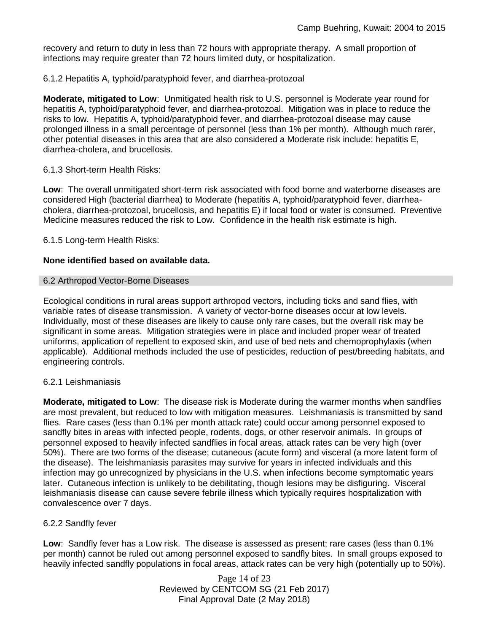recovery and return to duty in less than 72 hours with appropriate therapy. A small proportion of infections may require greater than 72 hours limited duty, or hospitalization.

### 6.1.2 Hepatitis A, typhoid/paratyphoid fever, and diarrhea-protozoal

**Moderate, mitigated to Low**: Unmitigated health risk to U.S. personnel is Moderate year round for hepatitis A, typhoid/paratyphoid fever, and diarrhea-protozoal. Mitigation was in place to reduce the risks to low. Hepatitis A, typhoid/paratyphoid fever, and diarrhea-protozoal disease may cause prolonged illness in a small percentage of personnel (less than 1% per month). Although much rarer, other potential diseases in this area that are also considered a Moderate risk include: hepatitis E, diarrhea-cholera, and brucellosis.

### 6.1.3 Short-term Health Risks:

**Low**: The overall unmitigated short-term risk associated with food borne and waterborne diseases are considered High (bacterial diarrhea) to Moderate (hepatitis A, typhoid/paratyphoid fever, diarrheacholera, diarrhea-protozoal, brucellosis, and hepatitis E) if local food or water is consumed. Preventive Medicine measures reduced the risk to Low. Confidence in the health risk estimate is high.

6.1.5 Long-term Health Risks:

### **None identified based on available data.**

### 6.2 Arthropod Vector-Borne Diseases

Ecological conditions in rural areas support arthropod vectors, including ticks and sand flies, with variable rates of disease transmission. A variety of vector-borne diseases occur at low levels. Individually, most of these diseases are likely to cause only rare cases, but the overall risk may be significant in some areas. Mitigation strategies were in place and included proper wear of treated uniforms, application of repellent to exposed skin, and use of bed nets and chemoprophylaxis (when applicable). Additional methods included the use of pesticides, reduction of pest/breeding habitats, and engineering controls.

#### 6.2.1 Leishmaniasis

**Moderate, mitigated to Low**: The disease risk is Moderate during the warmer months when sandflies are most prevalent, but reduced to low with mitigation measures. Leishmaniasis is transmitted by sand flies. Rare cases (less than 0.1% per month attack rate) could occur among personnel exposed to sandfly bites in areas with infected people, rodents, dogs, or other reservoir animals. In groups of personnel exposed to heavily infected sandflies in focal areas, attack rates can be very high (over 50%). There are two forms of the disease; cutaneous (acute form) and visceral (a more latent form of the disease). The leishmaniasis parasites may survive for years in infected individuals and this infection may go unrecognized by physicians in the U.S. when infections become symptomatic years later. Cutaneous infection is unlikely to be debilitating, though lesions may be disfiguring. Visceral leishmaniasis disease can cause severe febrile illness which typically requires hospitalization with convalescence over 7 days.

### 6.2.2 Sandfly fever

**Low**: Sandfly fever has a Low risk. The disease is assessed as present; rare cases (less than 0.1% per month) cannot be ruled out among personnel exposed to sandfly bites. In small groups exposed to heavily infected sandfly populations in focal areas, attack rates can be very high (potentially up to 50%).

> Page 14 of 23 Reviewed by CENTCOM SG (21 Feb 2017) Final Approval Date (2 May 2018)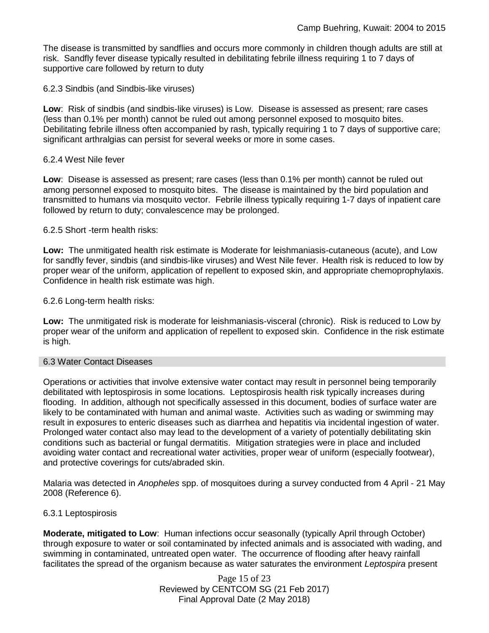The disease is transmitted by sandflies and occurs more commonly in children though adults are still at risk. Sandfly fever disease typically resulted in debilitating febrile illness requiring 1 to 7 days of supportive care followed by return to duty

6.2.3 Sindbis (and Sindbis-like viruses)

**Low**: Risk of sindbis (and sindbis-like viruses) is Low. Disease is assessed as present; rare cases (less than 0.1% per month) cannot be ruled out among personnel exposed to mosquito bites. Debilitating febrile illness often accompanied by rash, typically requiring 1 to 7 days of supportive care; significant arthralgias can persist for several weeks or more in some cases.

### 6.2.4 West Nile fever

**Low**: Disease is assessed as present; rare cases (less than 0.1% per month) cannot be ruled out among personnel exposed to mosquito bites. The disease is maintained by the bird population and transmitted to humans via mosquito vector. Febrile illness typically requiring 1-7 days of inpatient care followed by return to duty; convalescence may be prolonged.

### 6.2.5 Short -term health risks:

**Low:** The unmitigated health risk estimate is Moderate for leishmaniasis-cutaneous (acute), and Low for sandfly fever, sindbis (and sindbis-like viruses) and West Nile fever. Health risk is reduced to low by proper wear of the uniform, application of repellent to exposed skin, and appropriate chemoprophylaxis. Confidence in health risk estimate was high.

### 6.2.6 Long-term health risks:

**Low:** The unmitigated risk is moderate for leishmaniasis-visceral (chronic). Risk is reduced to Low by proper wear of the uniform and application of repellent to exposed skin. Confidence in the risk estimate is high.

#### 6.3 Water Contact Diseases

Operations or activities that involve extensive water contact may result in personnel being temporarily debilitated with leptospirosis in some locations. Leptospirosis health risk typically increases during flooding. In addition, although not specifically assessed in this document, bodies of surface water are likely to be contaminated with human and animal waste. Activities such as wading or swimming may result in exposures to enteric diseases such as diarrhea and hepatitis via incidental ingestion of water. Prolonged water contact also may lead to the development of a variety of potentially debilitating skin conditions such as bacterial or fungal dermatitis. Mitigation strategies were in place and included avoiding water contact and recreational water activities, proper wear of uniform (especially footwear), and protective coverings for cuts/abraded skin.

Malaria was detected in *Anopheles* spp. of mosquitoes during a survey conducted from 4 April - 21 May 2008 (Reference 6).

### 6.3.1 Leptospirosis

**Moderate, mitigated to Low**: Human infections occur seasonally (typically April through October) through exposure to water or soil contaminated by infected animals and is associated with wading, and swimming in contaminated, untreated open water. The occurrence of flooding after heavy rainfall facilitates the spread of the organism because as water saturates the environment *Leptospira* present

> Page 15 of 23 Reviewed by CENTCOM SG (21 Feb 2017) Final Approval Date (2 May 2018)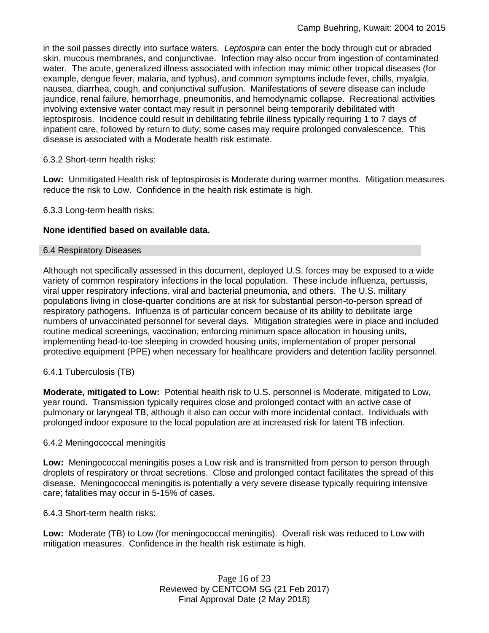in the soil passes directly into surface waters. *Leptospira* can enter the body through cut or abraded skin, mucous membranes, and conjunctivae. Infection may also occur from ingestion of contaminated water. The acute, generalized illness associated with infection may mimic other tropical diseases (for example, dengue fever, malaria, and typhus), and common symptoms include fever, chills, myalgia, nausea, diarrhea, cough, and conjunctival suffusion. Manifestations of severe disease can include jaundice, renal failure, hemorrhage, pneumonitis, and hemodynamic collapse. Recreational activities involving extensive water contact may result in personnel being temporarily debilitated with leptospirosis. Incidence could result in debilitating febrile illness typically requiring 1 to 7 days of inpatient care, followed by return to duty; some cases may require prolonged convalescence. This disease is associated with a Moderate health risk estimate.

### 6.3.2 Short-term health risks:

**Low:** Unmitigated Health risk of leptospirosis is Moderate during warmer months. Mitigation measures reduce the risk to Low. Confidence in the health risk estimate is high.

6.3.3 Long-term health risks:

### **None identified based on available data.**

#### 6.4 Respiratory Diseases

Although not specifically assessed in this document, deployed U.S. forces may be exposed to a wide variety of common respiratory infections in the local population. These include influenza, pertussis, viral upper respiratory infections, viral and bacterial pneumonia, and others. The U.S. military populations living in close-quarter conditions are at risk for substantial person-to-person spread of respiratory pathogens. Influenza is of particular concern because of its ability to debilitate large numbers of unvaccinated personnel for several days. Mitigation strategies were in place and included routine medical screenings, vaccination, enforcing minimum space allocation in housing units, implementing head-to-toe sleeping in crowded housing units, implementation of proper personal protective equipment (PPE) when necessary for healthcare providers and detention facility personnel.

### 6.4.1 Tuberculosis (TB)

**Moderate, mitigated to Low:** Potential health risk to U.S. personnel is Moderate, mitigated to Low, year round. Transmission typically requires close and prolonged contact with an active case of pulmonary or laryngeal TB, although it also can occur with more incidental contact. Individuals with prolonged indoor exposure to the local population are at increased risk for latent TB infection.

#### 6.4.2 Meningococcal meningitis

**Low:** Meningococcal meningitis poses a Low risk and is transmitted from person to person through droplets of respiratory or throat secretions. Close and prolonged contact facilitates the spread of this disease. Meningococcal meningitis is potentially a very severe disease typically requiring intensive care; fatalities may occur in 5-15% of cases.

6.4.3 Short-term health risks:

**Low:** Moderate (TB) to Low (for meningococcal meningitis). Overall risk was reduced to Low with mitigation measures. Confidence in the health risk estimate is high.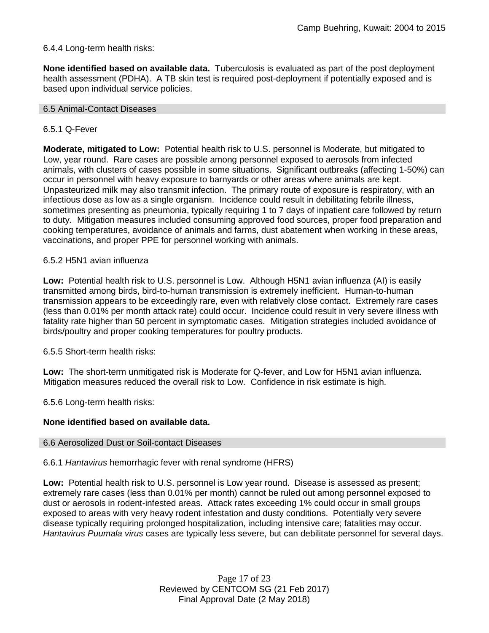### 6.4.4 Long-term health risks:

**None identified based on available data.** Tuberculosis is evaluated as part of the post deployment health assessment (PDHA). A TB skin test is required post-deployment if potentially exposed and is based upon individual service policies.

#### 6.5 Animal-Contact Diseases

#### 6.5.1 Q-Fever

**Moderate, mitigated to Low:** Potential health risk to U.S. personnel is Moderate, but mitigated to Low, year round. Rare cases are possible among personnel exposed to aerosols from infected animals, with clusters of cases possible in some situations. Significant outbreaks (affecting 1-50%) can occur in personnel with heavy exposure to barnyards or other areas where animals are kept. Unpasteurized milk may also transmit infection. The primary route of exposure is respiratory, with an infectious dose as low as a single organism. Incidence could result in debilitating febrile illness, sometimes presenting as pneumonia, typically requiring 1 to 7 days of inpatient care followed by return to duty. Mitigation measures included consuming approved food sources, proper food preparation and cooking temperatures, avoidance of animals and farms, dust abatement when working in these areas, vaccinations, and proper PPE for personnel working with animals.

#### 6.5.2 H5N1 avian influenza

**Low:** Potential health risk to U.S. personnel is Low. Although H5N1 avian influenza (AI) is easily transmitted among birds, bird-to-human transmission is extremely inefficient. Human-to-human transmission appears to be exceedingly rare, even with relatively close contact. Extremely rare cases (less than 0.01% per month attack rate) could occur. Incidence could result in very severe illness with fatality rate higher than 50 percent in symptomatic cases. Mitigation strategies included avoidance of birds/poultry and proper cooking temperatures for poultry products.

6.5.5 Short-term health risks:

**Low:** The short-term unmitigated risk is Moderate for Q-fever, and Low for H5N1 avian influenza. Mitigation measures reduced the overall risk to Low.Confidence in risk estimate is high.

6.5.6 Long-term health risks:

### **None identified based on available data.**

#### 6.6 Aerosolized Dust or Soil-contact Diseases

6.6.1 *Hantavirus* hemorrhagic fever with renal syndrome (HFRS)

**Low:** Potential health risk to U.S. personnel is Low year round. Disease is assessed as present; extremely rare cases (less than 0.01% per month) cannot be ruled out among personnel exposed to dust or aerosols in rodent-infested areas. Attack rates exceeding 1% could occur in small groups exposed to areas with very heavy rodent infestation and dusty conditions. Potentially very severe disease typically requiring prolonged hospitalization, including intensive care; fatalities may occur. *Hantavirus Puumala virus* cases are typically less severe, but can debilitate personnel for several days.

> Page 17 of 23 Reviewed by CENTCOM SG (21 Feb 2017) Final Approval Date (2 May 2018)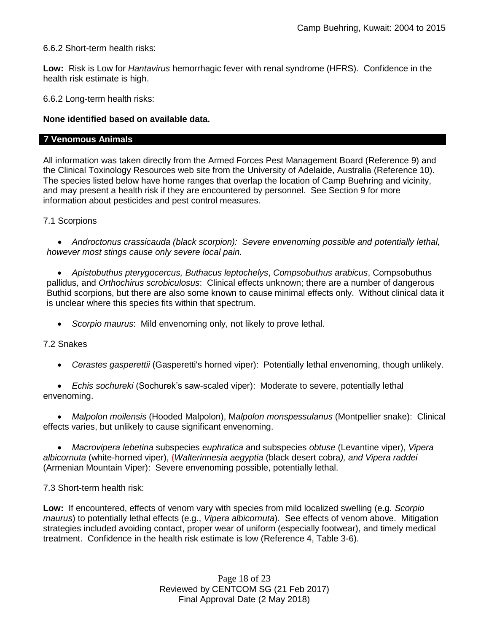6.6.2 Short-term health risks:

**Low:** Risk is Low for *Hantavirus* hemorrhagic fever with renal syndrome (HFRS). Confidence in the health risk estimate is high.

6.6.2 Long-term health risks:

### **None identified based on available data.**

#### **7 Venomous Animals**

All information was taken directly from the Armed Forces Pest Management Board (Reference 9) and the Clinical Toxinology Resources web site from the University of Adelaide, Australia (Reference 10). The species listed below have home ranges that overlap the location of Camp Buehring and vicinity, and may present a health risk if they are encountered by personnel. See Section 9 for more information about pesticides and pest control measures.

7.1 Scorpions

 *Androctonus crassicauda (black scorpion): Severe envenoming possible and potentially lethal, however most stings cause only severe local pain.*

 *Apistobuthus pterygocercus, Buthacus leptochelys*, *Compsobuthus arabicus*, Compsobuthus pallidus, and *Orthochirus scrobiculosus*: Clinical effects unknown; there are a number of dangerous Buthid scorpions, but there are also some known to cause minimal effects only. Without clinical data it is unclear where this species fits within that spectrum.

*Scorpio maurus*: Mild envenoming only, not likely to prove lethal.

#### 7.2 Snakes

*Cerastes gasperettii* (Gasperetti's horned viper): Potentially lethal envenoming, though unlikely.

 *Echis sochureki* (Sochurek's saw-scaled viper): Moderate to severe, potentially lethal envenoming.

 *Malpolon moilensis* (Hooded Malpolon), M*alpolon monspessulanus* (Montpellier snake): Clinical effects varies, but unlikely to cause significant envenoming.

 *Macrovipera lebetina* subspecies e*uphratica* and subspecies *obtuse* (Levantine viper), *Vipera albicornuta* (white-horned viper), (*Walterinnesia aegyptia* (black desert cobra*), and Vipera raddei* (Armenian Mountain Viper): Severe envenoming possible, potentially lethal.

7.3 Short-term health risk:

**Low:** If encountered, effects of venom vary with species from mild localized swelling (e.g. *Scorpio maurus*) to potentially lethal effects (e.g., *Vipera albicornuta*). See effects of venom above. Mitigation strategies included avoiding contact, proper wear of uniform (especially footwear), and timely medical treatment. Confidence in the health risk estimate is low (Reference 4, Table 3-6).

> Page 18 of 23 Reviewed by CENTCOM SG (21 Feb 2017) Final Approval Date (2 May 2018)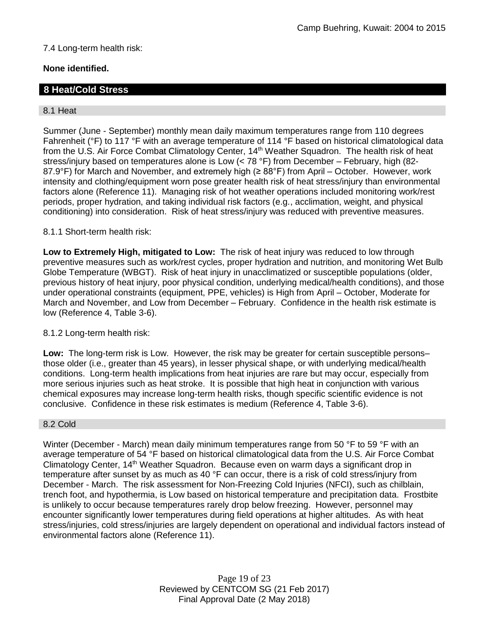# 7.4 Long-term health risk:

# **None identified.**

# **8 Heat/Cold Stress**

#### 8.1 Heat

Summer (June - September) monthly mean daily maximum temperatures range from 110 degrees Fahrenheit (°F) to 117 °F with an average temperature of 114 °F based on historical climatological data from the U.S. Air Force Combat Climatology Center, 14<sup>th</sup> Weather Squadron. The health risk of heat stress/injury based on temperatures alone is Low (< 78 °F) from December – February, high (82- 87.9°F) for March and November, and extremely high (≥ 88°F) from April – October. However, work intensity and clothing/equipment worn pose greater health risk of heat stress/injury than environmental factors alone (Reference 11). Managing risk of hot weather operations included monitoring work/rest periods, proper hydration, and taking individual risk factors (e.g., acclimation, weight, and physical conditioning) into consideration. Risk of heat stress/injury was reduced with preventive measures.

### 8.1.1 Short-term health risk:

**Low to Extremely High, mitigated to Low:** The risk of heat injury was reduced to low through preventive measures such as work/rest cycles, proper hydration and nutrition, and monitoring Wet Bulb Globe Temperature (WBGT). Risk of heat injury in unacclimatized or susceptible populations (older, previous history of heat injury, poor physical condition, underlying medical/health conditions), and those under operational constraints (equipment, PPE, vehicles) is High from April – October, Moderate for March and November, and Low from December – February. Confidence in the health risk estimate is low (Reference 4, Table 3-6).

#### 8.1.2 Long-term health risk:

**Low:** The long-term risk is Low. However, the risk may be greater for certain susceptible persons– those older (i.e., greater than 45 years), in lesser physical shape, or with underlying medical/health conditions. Long-term health implications from heat injuries are rare but may occur, especially from more serious injuries such as heat stroke. It is possible that high heat in conjunction with various chemical exposures may increase long-term health risks, though specific scientific evidence is not conclusive. Confidence in these risk estimates is medium (Reference 4, Table 3-6).

#### 8.2 Cold

Winter (December - March) mean daily minimum temperatures range from 50 °F to 59 °F with an average temperature of 54 °F based on historical climatological data from the U.S. Air Force Combat Climatology Center, 14th Weather Squadron. Because even on warm days a significant drop in temperature after sunset by as much as 40 °F can occur, there is a risk of cold stress/injury from December - March. The risk assessment for Non-Freezing Cold Injuries (NFCI), such as chilblain, trench foot, and hypothermia, is Low based on historical temperature and precipitation data. Frostbite is unlikely to occur because temperatures rarely drop below freezing. However, personnel may encounter significantly lower temperatures during field operations at higher altitudes. As with heat stress/injuries, cold stress/injuries are largely dependent on operational and individual factors instead of environmental factors alone (Reference 11).

> Page 19 of 23 Reviewed by CENTCOM SG (21 Feb 2017) Final Approval Date (2 May 2018)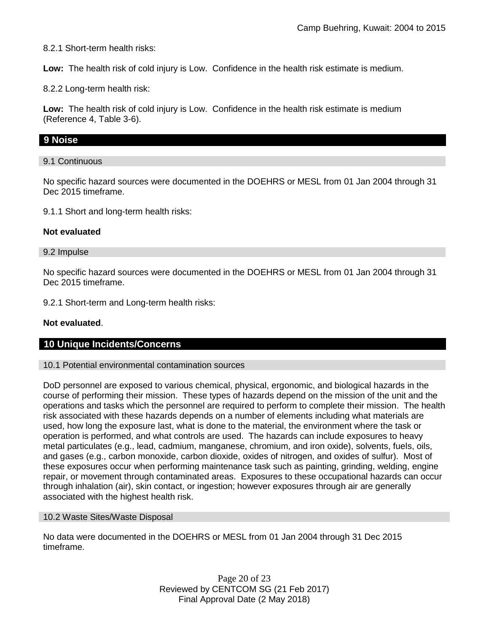8.2.1 Short-term health risks:

**Low:** The health risk of cold injury is Low. Confidence in the health risk estimate is medium.

8.2.2 Long-term health risk:

**Low:** The health risk of cold injury is Low. Confidence in the health risk estimate is medium (Reference 4, Table 3-6).

### **9 Noise**

#### 9.1 Continuous

No specific hazard sources were documented in the DOEHRS or MESL from 01 Jan 2004 through 31 Dec 2015 timeframe.

9.1.1 Short and long-term health risks:

#### **Not evaluated**

#### 9.2 Impulse

No specific hazard sources were documented in the DOEHRS or MESL from 01 Jan 2004 through 31 Dec 2015 timeframe.

9.2.1 Short-term and Long-term health risks:

#### **Not evaluated**.

### **10 Unique Incidents/Concerns**

#### 10.1 Potential environmental contamination sources

DoD personnel are exposed to various chemical, physical, ergonomic, and biological hazards in the course of performing their mission. These types of hazards depend on the mission of the unit and the operations and tasks which the personnel are required to perform to complete their mission. The health risk associated with these hazards depends on a number of elements including what materials are used, how long the exposure last, what is done to the material, the environment where the task or operation is performed, and what controls are used. The hazards can include exposures to heavy metal particulates (e.g., lead, cadmium, manganese, chromium, and iron oxide), solvents, fuels, oils, and gases (e.g., carbon monoxide, carbon dioxide, oxides of nitrogen, and oxides of sulfur). Most of these exposures occur when performing maintenance task such as painting, grinding, welding, engine repair, or movement through contaminated areas. Exposures to these occupational hazards can occur through inhalation (air), skin contact, or ingestion; however exposures through air are generally associated with the highest health risk.

#### 10.2 Waste Sites/Waste Disposal

No data were documented in the DOEHRS or MESL from 01 Jan 2004 through 31 Dec 2015 timeframe.

> Page 20 of 23 Reviewed by CENTCOM SG (21 Feb 2017) Final Approval Date (2 May 2018)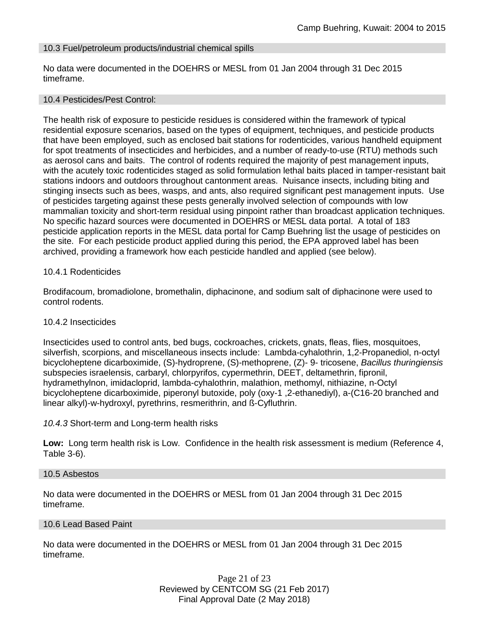### 10.3 Fuel/petroleum products/industrial chemical spills

No data were documented in the DOEHRS or MESL from 01 Jan 2004 through 31 Dec 2015 timeframe.

#### 10.4 Pesticides/Pest Control:

The health risk of exposure to pesticide residues is considered within the framework of typical residential exposure scenarios, based on the types of equipment, techniques, and pesticide products that have been employed, such as enclosed bait stations for rodenticides, various handheld equipment for spot treatments of insecticides and herbicides, and a number of ready-to-use (RTU) methods such as aerosol cans and baits. The control of rodents required the majority of pest management inputs, with the acutely toxic rodenticides staged as solid formulation lethal baits placed in tamper-resistant bait stations indoors and outdoors throughout cantonment areas. Nuisance insects, including biting and stinging insects such as bees, wasps, and ants, also required significant pest management inputs. Use of pesticides targeting against these pests generally involved selection of compounds with low mammalian toxicity and short-term residual using pinpoint rather than broadcast application techniques. No specific hazard sources were documented in DOEHRS or MESL data portal. A total of 183 pesticide application reports in the MESL data portal for Camp Buehring list the usage of pesticides on the site. For each pesticide product applied during this period, the EPA approved label has been archived, providing a framework how each pesticide handled and applied (see below).

#### 10.4.1 Rodenticides

Brodifacoum, bromadiolone, bromethalin, diphacinone, and sodium salt of diphacinone were used to control rodents.

#### 10.4.2 Insecticides

Insecticides used to control ants, bed bugs, cockroaches, crickets, gnats, fleas, flies, mosquitoes, silverfish, scorpions, and miscellaneous insects include: Lambda-cyhalothrin, 1,2-Propanediol, n-octyl bicycloheptene dicarboximide, (S)-hydroprene, (S)-methoprene, (Z)- 9- tricosene, *Bacillus thuringiensis* subspecies israelensis, carbaryl, chlorpyrifos, cypermethrin, DEET, deltamethrin, fipronil, hydramethylnon, imidacloprid, lambda-cyhalothrin, malathion, methomyl, nithiazine, n-Octyl bicycloheptene dicarboximide, piperonyl butoxide, poly (oxy-1 ,2-ethanediyl), a-(C16-20 branched and linear alkyl)-w-hydroxyl, pyrethrins, resmerithrin, and ß-Cyfluthrin.

#### *10.4.3* Short-term and Long-term health risks

**Low:** Long term health risk is Low. Confidence in the health risk assessment is medium (Reference 4, Table 3-6).

#### 10.5 Asbestos

No data were documented in the DOEHRS or MESL from 01 Jan 2004 through 31 Dec 2015 timeframe.

#### 10.6 Lead Based Paint

No data were documented in the DOEHRS or MESL from 01 Jan 2004 through 31 Dec 2015 timeframe.

> Page 21 of 23 Reviewed by CENTCOM SG (21 Feb 2017) Final Approval Date (2 May 2018)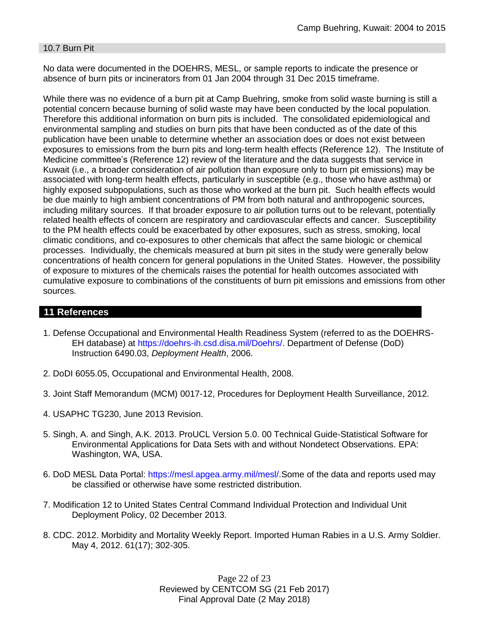#### 10.7 Burn Pit

No data were documented in the DOEHRS, MESL, or sample reports to indicate the presence or absence of burn pits or incinerators from 01 Jan 2004 through 31 Dec 2015 timeframe.

While there was no evidence of a burn pit at Camp Buehring, smoke from solid waste burning is still a potential concern because burning of solid waste may have been conducted by the local population. Therefore this additional information on burn pits is included. The consolidated epidemiological and environmental sampling and studies on burn pits that have been conducted as of the date of this publication have been unable to determine whether an association does or does not exist between exposures to emissions from the burn pits and long-term health effects (Reference 12). The Institute of Medicine committee's (Reference 12) review of the literature and the data suggests that service in Kuwait (i.e., a broader consideration of air pollution than exposure only to burn pit emissions) may be associated with long-term health effects, particularly in susceptible (e.g., those who have asthma) or highly exposed subpopulations, such as those who worked at the burn pit. Such health effects would be due mainly to high ambient concentrations of PM from both natural and anthropogenic sources, including military sources. If that broader exposure to air pollution turns out to be relevant, potentially related health effects of concern are respiratory and cardiovascular effects and cancer. Susceptibility to the PM health effects could be exacerbated by other exposures, such as stress, smoking, local climatic conditions, and co-exposures to other chemicals that affect the same biologic or chemical processes. Individually, the chemicals measured at burn pit sites in the study were generally below concentrations of health concern for general populations in the United States. However, the possibility of exposure to mixtures of the chemicals raises the potential for health outcomes associated with cumulative exposure to combinations of the constituents of burn pit emissions and emissions from other sources.

# **11 References**

- 1. Defense Occupational and Environmental Health Readiness System (referred to as the DOEHRS-EH database) at https://doehrs-ih.csd.disa.mil/Doehrs/. Department of Defense (DoD) Instruction 6490.03, *Deployment Health*, 2006.
- 2. DoDI 6055.05, Occupational and Environmental Health, 2008.
- 3. Joint Staff Memorandum (MCM) 0017-12, Procedures for Deployment Health Surveillance, 2012.
- 4. USAPHC TG230, June 2013 Revision.
- 5. Singh, A. and Singh, A.K. 2013. ProUCL Version 5.0. 00 Technical Guide-Statistical Software for Environmental Applications for Data Sets with and without Nondetect Observations. EPA: Washington, WA, USA.
- 6. DoD MESL Data Portal: https://mesl.apgea.army.mil/mesl/.Some of the data and reports used may be classified or otherwise have some restricted distribution.
- 7. Modification 12 to United States Central Command Individual Protection and Individual Unit Deployment Policy, 02 December 2013.
- 8. CDC. 2012. Morbidity and Mortality Weekly Report. Imported Human Rabies in a U.S. Army Soldier. May 4, 2012. 61(17); 302-305.

Page 22 of 23 Reviewed by CENTCOM SG (21 Feb 2017) Final Approval Date (2 May 2018)